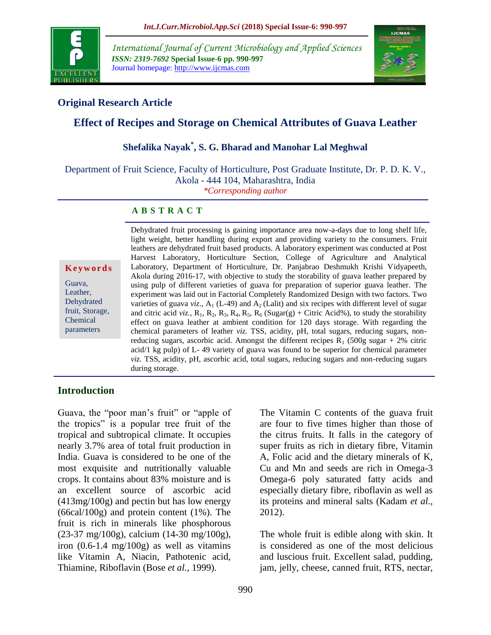

*International Journal of Current Microbiology and Applied Sciences ISSN: 2319-7692* **Special Issue-6 pp. 990-997** Journal homepage: http://www.ijcmas.com



## **Original Research Article**

# **Effect of Recipes and Storage on Chemical Attributes of Guava Leather**

# **Shefalika Nayak\* , S. G. Bharad and Manohar Lal Meghwal**

Department of Fruit Science, Faculty of Horticulture, Post Graduate Institute, Dr. P. D. K. V., Akola - 444 104, Maharashtra, India

*\*Corresponding author*

#### **A B S T R A C T**

**K e y w o r d s**

Guava, Leather, Dehydrated fruit, Storage, Chemical parameters

Dehydrated fruit processing is gaining importance area now-a-days due to long shelf life, light weight, better handling during export and providing variety to the consumers. Fruit leathers are dehydrated fruit based products. A laboratory experiment was conducted at Post Harvest Laboratory, Horticulture Section, College of Agriculture and Analytical Laboratory, Department of Horticulture, Dr. Panjabrao Deshmukh Krishi Vidyapeeth, Akola during 2016-17, with objective to study the storability of guava leather prepared by using pulp of different varieties of guava for preparation of superior guava leather. The experiment was laid out in Factorial Completely Randomized Design with two factors. Two varieties of guava *viz*.,  $A_1$  (L-49) and  $A_2$  (Lalit) and six recipes with different level of sugar and citric acid *viz.*,  $R_1$ ,  $R_2$ ,  $R_3$ ,  $R_4$ ,  $R_5$ ,  $R_6$  (Sugar(g) + Citric Acid%), to study the storability effect on guava leather at ambient condition for 120 days storage. With regarding the chemical parameters of leather *viz.* TSS, acidity, pH, total sugars, reducing sugars, nonreducing sugars, ascorbic acid. Amongst the different recipes  $R_1$  (500g sugar + 2% citric acid/1 kg pulp) of L- 49 variety of guava was found to be superior for chemical parameter *viz.* TSS, acidity, pH, ascorbic acid, total sugars, reducing sugars and non-reducing sugars during storage.

#### **Introduction**

Guava, the "poor man's fruit" or "apple of the tropics" is a popular tree fruit of the tropical and subtropical climate. It occupies nearly 3.7% area of total fruit production in India. Guava is considered to be one of the most exquisite and nutritionally valuable crops. It contains about 83% moisture and is an excellent source of ascorbic acid (413mg/100g) and pectin but has low energy (66cal/100g) and protein content (1%). The fruit is rich in minerals like phosphorous (23-37 mg/100g), calcium (14-30 mg/100g), iron  $(0.6-1.4 \text{ mg}/100 \text{g})$  as well as vitamins like Vitamin A, Niacin, Pathotenic acid, Thiamine, Riboflavin (Bose *et al.,* 1999).

The Vitamin C contents of the guava fruit are four to five times higher than those of the citrus fruits. It falls in the category of super fruits as rich in dietary fibre, Vitamin A, Folic acid and the dietary minerals of K, Cu and Mn and seeds are rich in Omega-3 Omega-6 poly saturated fatty acids and especially dietary fibre, riboflavin as well as its proteins and mineral salts (Kadam *et al.,* 2012).

The whole fruit is edible along with skin. It is considered as one of the most delicious and luscious fruit. Excellent salad, pudding, jam, jelly, cheese, canned fruit, RTS, nectar,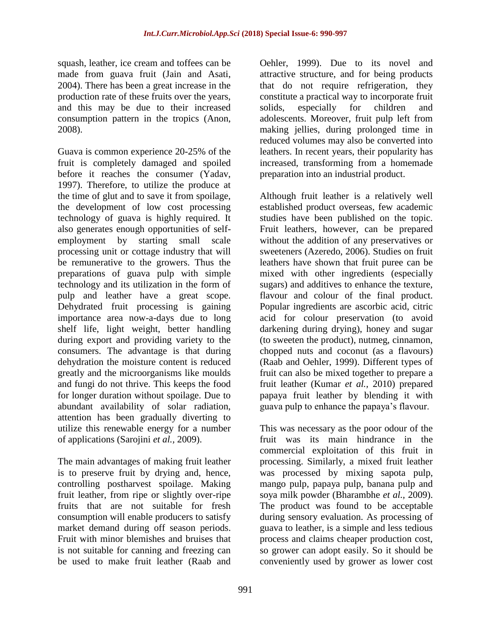squash, leather, ice cream and toffees can be made from guava fruit (Jain and Asati, 2004). There has been a great increase in the production rate of these fruits over the years, and this may be due to their increased consumption pattern in the tropics (Anon, 2008).

Guava is common experience 20-25% of the fruit is completely damaged and spoiled before it reaches the consumer (Yadav, 1997). Therefore, to utilize the produce at the time of glut and to save it from spoilage, the development of low cost processing technology of guava is highly required. It also generates enough opportunities of selfemployment by starting small scale processing unit or cottage industry that will be remunerative to the growers. Thus the preparations of guava pulp with simple technology and its utilization in the form of pulp and leather have a great scope. Dehydrated fruit processing is gaining importance area now-a-days due to long shelf life, light weight, better handling during export and providing variety to the consumers. The advantage is that during dehydration the moisture content is reduced greatly and the microorganisms like moulds and fungi do not thrive. This keeps the food for longer duration without spoilage. Due to abundant availability of solar radiation, attention has been gradually diverting to utilize this renewable energy for a number of applications (Sarojini *et al.,* 2009).

The main advantages of making fruit leather is to preserve fruit by drying and, hence, controlling postharvest spoilage. Making fruit leather, from ripe or slightly over-ripe fruits that are not suitable for fresh consumption will enable producers to satisfy market demand during off season periods. Fruit with minor blemishes and bruises that is not suitable for canning and freezing can be used to make fruit leather (Raab and

Oehler, 1999). Due to its novel and attractive structure, and for being products that do not require refrigeration, they constitute a practical way to incorporate fruit solids, especially for children and adolescents. Moreover, fruit pulp left from making jellies, during prolonged time in reduced volumes may also be converted into leathers. In recent years, their popularity has increased, transforming from a homemade preparation into an industrial product.

Although fruit leather is a relatively well established product overseas, few academic studies have been published on the topic. Fruit leathers, however, can be prepared without the addition of any preservatives or sweeteners (Azeredo, 2006). Studies on fruit leathers have shown that fruit puree can be mixed with other ingredients (especially sugars) and additives to enhance the texture, flavour and colour of the final product. Popular ingredients are ascorbic acid, citric acid for colour preservation (to avoid darkening during drying), honey and sugar (to sweeten the product), nutmeg, cinnamon, chopped nuts and coconut (as a flavours) (Raab and Oehler, 1999). Different types of fruit can also be mixed together to prepare a fruit leather (Kumar *et al.,* 2010) prepared papaya fruit leather by blending it with guava pulp to enhance the papaya's flavour.

This was necessary as the poor odour of the fruit was its main hindrance in the commercial exploitation of this fruit in processing. Similarly, a mixed fruit leather was processed by mixing sapota pulp, mango pulp, papaya pulp, banana pulp and soya milk powder (Bharambhe *et al.,* 2009). The product was found to be acceptable during sensory evaluation. As processing of guava to leather, is a simple and less tedious process and claims cheaper production cost, so grower can adopt easily. So it should be conveniently used by grower as lower cost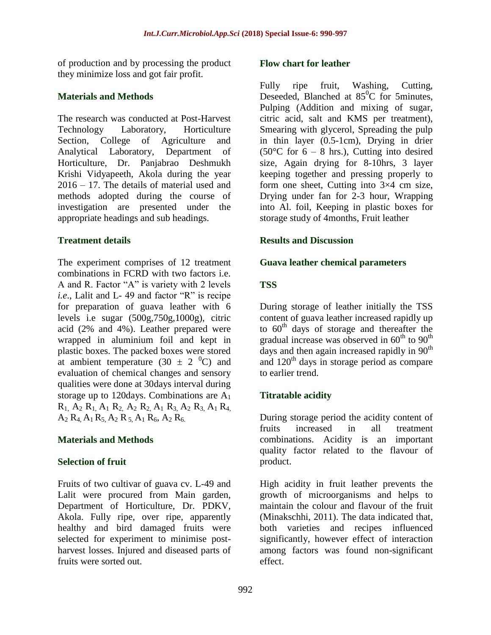of production and by processing the product they minimize loss and got fair profit.

## **Materials and Methods**

The research was conducted at Post-Harvest Technology Laboratory, Horticulture Section, College of Agriculture and Analytical Laboratory, Department of Horticulture, Dr. Panjabrao Deshmukh Krishi Vidyapeeth, Akola during the year 2016 – 17. The details of material used and methods adopted during the course of investigation are presented under the appropriate headings and sub headings.

# **Treatment details**

The experiment comprises of 12 treatment combinations in FCRD with two factors i.e. A and R. Factor "A" is variety with 2 levels *i.e*., Lalit and L- 49 and factor "R" is recipe for preparation of guava leather with 6 levels i.e sugar (500g,750g,1000g), citric acid (2% and 4%). Leather prepared were wrapped in aluminium foil and kept in plastic boxes. The packed boxes were stored at ambient temperature (30  $\pm$  2 <sup>0</sup>C) and evaluation of chemical changes and sensory qualities were done at 30days interval during storage up to 120 days. Combinations are  $A_1$  $R_1$ ,  $A_2$   $R_1$ ,  $A_1$   $R_2$ ,  $A_2$   $R_2$ ,  $A_1$   $R_3$ ,  $A_2$   $R_3$ ,  $A_1$   $R_4$ ,  $A_2 R_4 A_1 R_5 A_2 R_5 A_1 R_6 A_2 R_6$ 

# **Materials and Methods**

#### **Selection of fruit**

Fruits of two cultivar of guava cv. L-49 and Lalit were procured from Main garden, Department of Horticulture, Dr. PDKV, Akola. Fully ripe, over ripe, apparently healthy and bird damaged fruits were selected for experiment to minimise postharvest losses. Injured and diseased parts of fruits were sorted out.

#### **Flow chart for leather**

Fully ripe fruit, Washing, Cutting, Deseeded, Blanched at  $85^{\circ}$ C for 5minutes, Pulping (Addition and mixing of sugar, citric acid, salt and KMS per treatment), Smearing with glycerol, Spreading the pulp in thin layer (0.5-1cm), Drying in drier  $(50^{\circ}$ C for 6 – 8 hrs.), Cutting into desired size, Again drying for 8-10hrs, 3 layer keeping together and pressing properly to form one sheet, Cutting into 3×4 cm size, Drying under fan for 2-3 hour, Wrapping into Al. foil, Keeping in plastic boxes for storage study of 4months, Fruit leather

### **Results and Discussion**

### **Guava leather chemical parameters**

# **TSS**

During storage of leather initially the TSS content of guava leather increased rapidly up to  $60<sup>th</sup>$  days of storage and thereafter the gradual increase was observed in  $60^{th}$  to  $90^{th}$ days and then again increased rapidly in  $90<sup>th</sup>$ and  $120<sup>th</sup>$  days in storage period as compare to earlier trend.

# **Titratable acidity**

During storage period the acidity content of fruits increased in all treatment combinations. Acidity is an important quality factor related to the flavour of product.

High acidity in fruit leather prevents the growth of microorganisms and helps to maintain the colour and flavour of the fruit (Minakschhi, 2011). The data indicated that, both varieties and recipes influenced significantly, however effect of interaction among factors was found non-significant effect.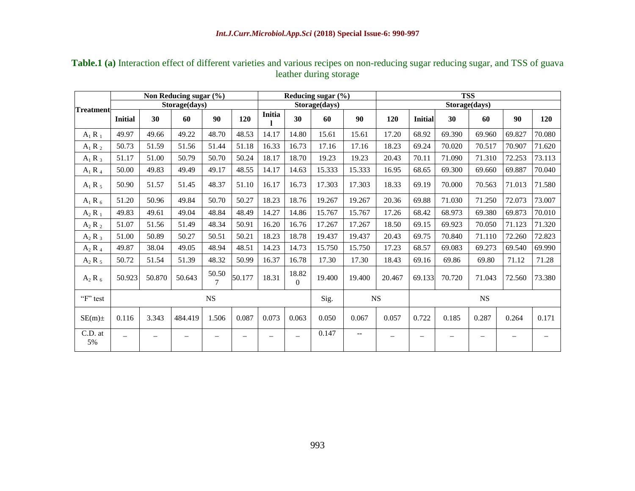| <b>Treatment</b> |                | Non Reducing sugar (%) |         |               |                   | Reducing sugar (%)       |                          | <b>TSS</b>    |        |             |                |        |        |        |                          |  |
|------------------|----------------|------------------------|---------|---------------|-------------------|--------------------------|--------------------------|---------------|--------|-------------|----------------|--------|--------|--------|--------------------------|--|
|                  |                | Storage(days)          |         | Storage(days) |                   |                          |                          | Storage(days) |        |             |                |        |        |        |                          |  |
|                  | <b>Initial</b> | 30                     | 60      | 90            | 120               | Initia                   | 30                       | 60            | 90     | <b>120</b>  | <b>Initial</b> | 30     | 60     | 90     | <b>120</b>               |  |
| $A_1 R_1$        | 49.97          | 49.66                  | 49.22   | 48.70         | 48.53             | 14.17                    | 14.80                    | 15.61         | 15.61  | 17.20       | 68.92          | 69.390 | 69.960 | 69.827 | 70.080                   |  |
| $A_1 R_2$        | 50.73          | 51.59                  | 51.56   | 51.44         | 51.18             | 16.33                    | 16.73                    | 17.16         | 17.16  | 18.23       | 69.24          | 70.020 | 70.517 | 70.907 | 71.620                   |  |
| $A_1 R_3$        | 51.17          | 51.00                  | 50.79   | 50.70         | 50.24             | 18.17                    | 18.70                    | 19.23         | 19.23  | 20.43       | 70.11          | 71.090 | 71.310 | 72.253 | 73.113                   |  |
| $A_1 R_4$        | 50.00          | 49.83                  | 49.49   | 49.17         | 48.55             | 14.17                    | 14.63                    | 15.333        | 15.333 | 16.95       | 68.65          | 69.300 | 69.660 | 69.887 | 70.040                   |  |
| $A_1 R_5$        | 50.90          | 51.57                  | 51.45   | 48.37         | 51.10             | 16.17                    | 16.73                    | 17.303        | 17.303 | 18.33       | 69.19          | 70.000 | 70.563 | 71.013 | 71.580                   |  |
| $A_1 R_6$        | 51.20          | 50.96                  | 49.84   | 50.70         | 50.27             | 18.23                    | 18.76                    | 19.267        | 19.267 | 20.36       | 69.88          | 71.030 | 71.250 | 72.073 | 73.007                   |  |
| $A_2 R_1$        | 49.83          | 49.61                  | 49.04   | 48.84         | 48.49             | 14.27                    | 14.86                    | 15.767        | 15.767 | 17.26       | 68.42          | 68.973 | 69.380 | 69.873 | 70.010                   |  |
| $A_2 R_2$        | 51.07          | 51.56                  | 51.49   | 48.34         | 50.91             | 16.20                    | 16.76                    | 17.267        | 17.267 | 18.50       | 69.15          | 69.923 | 70.050 | 71.123 | 71.320                   |  |
| $A_2 R_3$        | 51.00          | 50.89                  | 50.27   | 50.51         | 50.21             | 18.23                    | 18.78                    | 19.437        | 19.437 | 20.43       | 69.75          | 70.840 | 71.110 | 72.260 | 72.823                   |  |
| $A_2 R_4$        | 49.87          | 38.04                  | 49.05   | 48.94         | 48.51             | 14.23                    | 14.73                    | 15.750        | 15.750 | 17.23       | 68.57          | 69.083 | 69.273 | 69.540 | 69.990                   |  |
| $A_2 R_5$        | 50.72          | 51.54                  | 51.39   | 48.32         | 50.99             | 16.37                    | 16.78                    | 17.30         | 17.30  | 18.43       | 69.16          | 69.86  | 69.80  | 71.12  | 71.28                    |  |
| $A_2 R_6$        | 50.923         | 50.870                 | 50.643  | 50.50<br>7    | 50.177            | 18.31                    | 18.82<br>$\Omega$        | 19.400        | 19.400 | 20.467      | 69.133         | 70.720 | 71.043 | 72.560 | 73.380                   |  |
| "F" test         | NS             |                        |         |               |                   |                          |                          |               |        | $_{\rm NS}$ | $_{\rm NS}$    |        |        |        |                          |  |
| $SE(m)$ ±        | 0.116          | 3.343                  | 484.419 | 1.506         | 0.087             | 0.073                    | 0.063                    | 0.050         | 0.067  | 0.057       | 0.722          | 0.185  | 0.287  | 0.264  | 0.171                    |  |
| C.D. at<br>5%    |                |                        |         |               | $\qquad \qquad -$ | $\overline{\phantom{m}}$ | $\overline{\phantom{0}}$ | 0.147         | $-$    |             |                |        | $\sim$ | —      | $\overline{\phantom{m}}$ |  |

# **Table.1 (a)** Interaction effect of different varieties and various recipes on non-reducing sugar reducing sugar, and TSS of guava leather during storage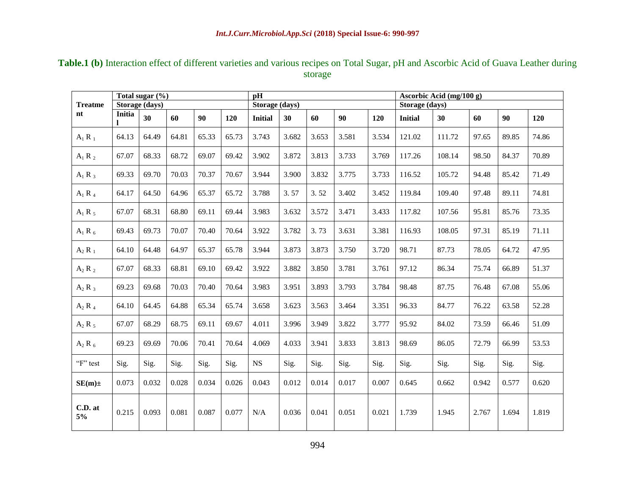| <b>Treatme</b><br>nt |               | Total sugar $(\%)$<br>Storage (days) |       |       |       | <b>pH</b><br>Storage (days) |       |       |       |       | Ascorbic Acid (mg/100 g)<br>Storage (days) |        |       |       |       |  |
|----------------------|---------------|--------------------------------------|-------|-------|-------|-----------------------------|-------|-------|-------|-------|--------------------------------------------|--------|-------|-------|-------|--|
|                      | <b>Initia</b> | 30                                   | 60    | 90    | 120   | <b>Initial</b>              | 30    | 60    | 90    | 120   | <b>Initial</b>                             | 30     | 60    | 90    | 120   |  |
| $A_1 R_1$            | 64.13         | 64.49                                | 64.81 | 65.33 | 65.73 | 3.743                       | 3.682 | 3.653 | 3.581 | 3.534 | 121.02                                     | 111.72 | 97.65 | 89.85 | 74.86 |  |
| $A_1 R_2$            | 67.07         | 68.33                                | 68.72 | 69.07 | 69.42 | 3.902                       | 3.872 | 3.813 | 3.733 | 3.769 | 117.26                                     | 108.14 | 98.50 | 84.37 | 70.89 |  |
| $A_1 R_3$            | 69.33         | 69.70                                | 70.03 | 70.37 | 70.67 | 3.944                       | 3.900 | 3.832 | 3.775 | 3.733 | 116.52                                     | 105.72 | 94.48 | 85.42 | 71.49 |  |
| $A_1 R_4$            | 64.17         | 64.50                                | 64.96 | 65.37 | 65.72 | 3.788                       | 3.57  | 3.52  | 3.402 | 3.452 | 119.84                                     | 109.40 | 97.48 | 89.11 | 74.81 |  |
| $A_1 R_5$            | 67.07         | 68.31                                | 68.80 | 69.11 | 69.44 | 3.983                       | 3.632 | 3.572 | 3.471 | 3.433 | 117.82                                     | 107.56 | 95.81 | 85.76 | 73.35 |  |
| $A_1 R_6$            | 69.43         | 69.73                                | 70.07 | 70.40 | 70.64 | 3.922                       | 3.782 | 3.73  | 3.631 | 3.381 | 116.93                                     | 108.05 | 97.31 | 85.19 | 71.11 |  |
| $A_2 R_1$            | 64.10         | 64.48                                | 64.97 | 65.37 | 65.78 | 3.944                       | 3.873 | 3.873 | 3.750 | 3.720 | 98.71                                      | 87.73  | 78.05 | 64.72 | 47.95 |  |
| $A_2 R_2$            | 67.07         | 68.33                                | 68.81 | 69.10 | 69.42 | 3.922                       | 3.882 | 3.850 | 3.781 | 3.761 | 97.12                                      | 86.34  | 75.74 | 66.89 | 51.37 |  |
| $A_2 R_3$            | 69.23         | 69.68                                | 70.03 | 70.40 | 70.64 | 3.983                       | 3.951 | 3.893 | 3.793 | 3.784 | 98.48                                      | 87.75  | 76.48 | 67.08 | 55.06 |  |
| $A_2 R_4$            | 64.10         | 64.45                                | 64.88 | 65.34 | 65.74 | 3.658                       | 3.623 | 3.563 | 3.464 | 3.351 | 96.33                                      | 84.77  | 76.22 | 63.58 | 52.28 |  |
| $A_2 R_5$            | 67.07         | 68.29                                | 68.75 | 69.11 | 69.67 | 4.011                       | 3.996 | 3.949 | 3.822 | 3.777 | 95.92                                      | 84.02  | 73.59 | 66.46 | 51.09 |  |
| $A_2 R_6$            | 69.23         | 69.69                                | 70.06 | 70.41 | 70.64 | 4.069                       | 4.033 | 3.941 | 3.833 | 3.813 | 98.69                                      | 86.05  | 72.79 | 66.99 | 53.53 |  |
| "F" test             | Sig.          | Sig.                                 | Sig.  | Sig.  | Sig.  | <b>NS</b>                   | Sig.  | Sig.  | Sig.  | Sig.  | Sig.                                       | Sig.   | Sig.  | Sig.  | Sig.  |  |
| $SE(m)$ ±            | 0.073         | 0.032                                | 0.028 | 0.034 | 0.026 | 0.043                       | 0.012 | 0.014 | 0.017 | 0.007 | 0.645                                      | 0.662  | 0.942 | 0.577 | 0.620 |  |
| C.D. at<br>5%        | 0.215         | 0.093                                | 0.081 | 0.087 | 0.077 | N/A                         | 0.036 | 0.041 | 0.051 | 0.021 | 1.739                                      | 1.945  | 2.767 | 1.694 | 1.819 |  |

# **Table.1 (b)** Interaction effect of different varieties and various recipes on Total Sugar, pH and Ascorbic Acid of Guava Leather during storage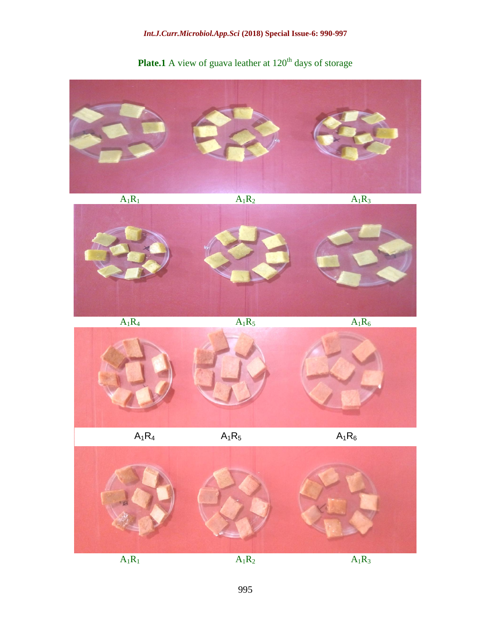### *Int.J.Curr.Microbiol.App.Sci* **(2018) Special Issue-6: 990-997**



**Plate.1** A view of guava leather at 120<sup>th</sup> days of storage

 $A_1R_1$   $A_1R_2$   $A_1R_3$ 



 $A_1R_4$   $A_1R_5$   $A_1R_6$ 



995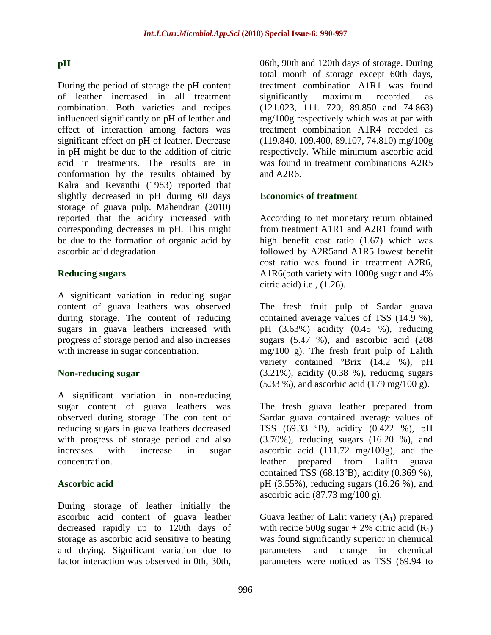## **pH**

During the period of storage the pH content of leather increased in all treatment combination. Both varieties and recipes influenced significantly on pH of leather and effect of interaction among factors was significant effect on pH of leather. Decrease in pH might be due to the addition of citric acid in treatments. The results are in conformation by the results obtained by Kalra and Revanthi (1983) reported that slightly decreased in pH during 60 days storage of guava pulp. Mahendran (2010) reported that the acidity increased with corresponding decreases in pH. This might be due to the formation of organic acid by ascorbic acid degradation.

### **Reducing sugars**

A significant variation in reducing sugar content of guava leathers was observed during storage. The content of reducing sugars in guava leathers increased with progress of storage period and also increases with increase in sugar concentration.

# **Non-reducing sugar**

A significant variation in non-reducing sugar content of guava leathers was observed during storage. The con tent of reducing sugars in guava leathers decreased with progress of storage period and also increases with increase in sugar concentration.

#### **Ascorbic acid**

During storage of leather initially the ascorbic acid content of guava leather decreased rapidly up to 120th days of storage as ascorbic acid sensitive to heating and drying. Significant variation due to factor interaction was observed in 0th, 30th,

06th, 90th and 120th days of storage. During total month of storage except 60th days, treatment combination A1R1 was found significantly maximum recorded as (121.023, 111. 720, 89.850 and 74.863) mg/100g respectively which was at par with treatment combination A1R4 recoded as (119.840, 109.400, 89.107, 74.810) mg/100g respectively. While minimum ascorbic acid was found in treatment combinations A2R5 and A2R6.

### **Economics of treatment**

According to net monetary return obtained from treatment A1R1 and A2R1 found with high benefit cost ratio (1.67) which was followed by A2R5and A1R5 lowest benefit cost ratio was found in treatment A2R6, A1R6(both variety with 1000g sugar and 4% citric acid) i.e., (1.26).

The fresh fruit pulp of Sardar guava contained average values of TSS (14.9 %), pH (3.63%) acidity (0.45 %), reducing sugars (5.47 %), and ascorbic acid (208 mg/100 g). The fresh fruit pulp of Lalith variety contained ºBrix (14.2 %), pH  $(3.21\%)$ , acidity  $(0.38\%)$ , reducing sugars (5.33 %), and ascorbic acid (179 mg/100 g).

The fresh guava leather prepared from Sardar guava contained average values of TSS (69.33 ºB), acidity (0.422 %), pH (3.70%), reducing sugars (16.20 %), and ascorbic acid  $(111.72 \text{ mg}/100g)$ , and the leather prepared from Lalith guava contained TSS (68.13ºB), acidity (0.369 %), pH (3.55%), reducing sugars (16.26 %), and ascorbic acid  $(87.73 \text{ mg}/100 \text{ g})$ .

Guava leather of Lalit variety  $(A_1)$  prepared with recipe 500g sugar + 2% citric acid  $(R_1)$ was found significantly superior in chemical parameters and change in chemical parameters were noticed as TSS (69.94 to